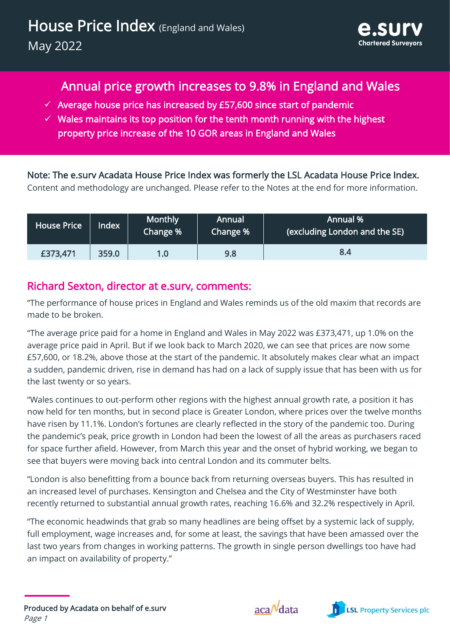# Annual price growth increases to 9.8% in England and Wales

- $\checkmark$  Average house price has increased by £57,600 since start of pandemic
- $\checkmark$  Wales maintains its top position for the tenth month running with the highest property price increase of the 10 GOR areas in England and Wales

Note: The e.surv Acadata House Price Index was formerly the LSL Acadata House Price Index. Content and methodology are unchanged. Please refer to the Notes at the end for more information.

| <b>House Price</b> | Index | <b>Monthly</b><br>Change % | Annual<br>Change % | Annual %<br>$\left\vert \right\vert$ (excluding London and the SE) $\left\vert \right\rangle$ |
|--------------------|-------|----------------------------|--------------------|-----------------------------------------------------------------------------------------------|
| £373,471           | 359.0 | 1.0                        | 9.8                | 8.4                                                                                           |

#### Richard Sexton, director at e.surv, comments:

"The performance of house prices in England and Wales reminds us of the old maxim that records are made to be broken.

"The average price paid for a home in England and Wales in May 2022 was £373,471, up 1.0% on the average price paid in April. But if we look back to March 2020, we can see that prices are now some £57,600, or 18.2%, above those at the start of the pandemic. It absolutely makes clear what an impact a sudden, pandemic driven, rise in demand has had on a lack of supply issue that has been with us for the last twenty or so years.

"Wales continues to out-perform other regions with the highest annual growth rate, a position it has now held for ten months, but in second place is Greater London, where prices over the twelve months have risen by 11.1%. London's fortunes are clearly reflected in the story of the pandemic too. During the pandemic's peak, price growth in London had been the lowest of all the areas as purchasers raced for space further afield. However, from March this year and the onset of hybrid working, we began to see that buyers were moving back into central London and its commuter belts.

"London is also benefitting from a bounce back from returning overseas buyers. This has resulted in an increased level of purchases. Kensington and Chelsea and the City of Westminster have both recently returned to substantial annual growth rates, reaching 16.6% and 32.2% respectively in April.

"The economic headwinds that grab so many headlines are being offset by a systemic lack of supply, full employment, wage increases and, for some at least, the savings that have been amassed over the last two years from changes in working patterns. The growth in single person dwellings too have had an impact on availability of property."



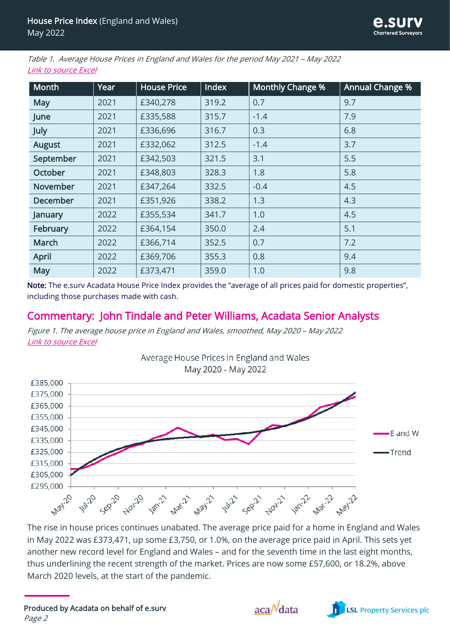Table 1. Average House Prices in England and Wales for the period May 2021 – May 2022 [Link to source Excel](http://www.acadata.co.uk/assets/uploads/2022/06/e.surv-Acadata-EW-HPI-National-and-Regional-Formatted-Data-from-2005-May-22.xlsm)

| Month           | Year | <b>House Price</b> | Index | <b>Monthly Change %</b> | Annual Change % |  |
|-----------------|------|--------------------|-------|-------------------------|-----------------|--|
| <b>May</b>      | 2021 | £340,278           | 319.2 | 0.7                     | 9.7             |  |
| June            | 2021 | £335,588           | 315.7 | $-1.4$                  | 7.9             |  |
| July            | 2021 | £336,696           | 316.7 | 0.3                     | 6.8             |  |
| <b>August</b>   | 2021 | £332,062           | 312.5 | $-1.4$                  | 3.7             |  |
| September       | 2021 | £342,503           | 321.5 | 3.1                     | 5.5             |  |
| October         | 2021 | £348,803           | 328.3 | 1.8                     | 5.8             |  |
| November        | 2021 | £347,264           | 332.5 | $-0.4$                  | 4.5             |  |
| <b>December</b> | 2021 | £351,926           | 338.2 | 1.3                     | 4.3             |  |
| January         | 2022 | £355,534           | 341.7 | 1.0                     | 4.5             |  |
| February        | 2022 | £364,154           | 350.0 | 2.4                     | 5.1             |  |
| March           | 2022 | £366,714           | 352.5 | 0.7                     | 7.2             |  |
| <b>April</b>    | 2022 | £369,706           | 355.3 | 0.8                     | 9.4             |  |
| May             | 2022 | £373,471           | 359.0 | 1.0                     | 9.8             |  |

Note: The e.surv Acadata House Price Index provides the "average of all prices paid for domestic properties", including those purchases made with cash.

#### Commentary: John Tindale and Peter Williams, Acadata Senior Analysts

Figure 1. The average house price in England and Wales, smoothed, May 2020 – May 2022 [Link to source Excel](http://www.acadata.co.uk/assets/uploads/2022/06/e.surv-Acadata-EW-HPI-Trendline-Two-Years-May-22.xlsx)



The rise in house prices continues unabated. The average price paid for a home in England and Wales in May 2022 was £373,471, up some £3,750, or 1.0%, on the average price paid in April. This sets yet another new record level for England and Wales – and for the seventh time in the last eight months, thus underlining the recent strength of the market. Prices are now some £57,600, or 18.2%, above March 2020 levels, at the start of the pandemic.



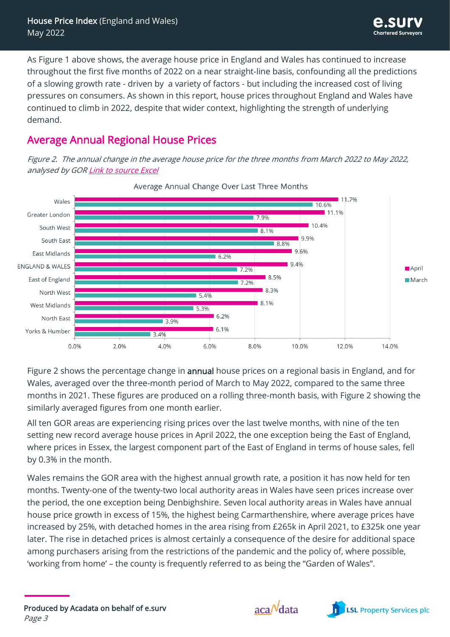As Figure 1 above shows, the average house price in England and Wales has continued to increase throughout the first five months of 2022 on a near straight-line basis, confounding all the predictions of a slowing growth rate - driven by a variety of factors - but including the increased cost of living pressures on consumers. As shown in this report, house prices throughout England and Wales have continued to climb in 2022, despite that wider context, highlighting the strength of underlying demand.

# Average Annual Regional House Prices

Figure 2. The annual change in the average house price for the three months from March 2022 to May 2022, analysed by GO[R Link to source Excel](http://www.acadata.co.uk/assets/uploads/2022/06/e.surv-Acadata-EW-HPI-Annual-growth-over-3-months-May-22.xlsx)



Average Annual Change Over Last Three Months

Figure 2 shows the percentage change in annual house prices on a regional basis in England, and for Wales, averaged over the three-month period of March to May 2022, compared to the same three months in 2021. These figures are produced on a rolling three-month basis, with Figure 2 showing the similarly averaged figures from one month earlier.

All ten GOR areas are experiencing rising prices over the last twelve months, with nine of the ten setting new record average house prices in April 2022, the one exception being the East of England, where prices in Essex, the largest component part of the East of England in terms of house sales, fell by 0.3% in the month.

Wales remains the GOR area with the highest annual growth rate, a position it has now held for ten months. Twenty-one of the twenty-two local authority areas in Wales have seen prices increase over the period, the one exception being Denbighshire. Seven local authority areas in Wales have annual house price growth in excess of 15%, the highest being Carmarthenshire, where average prices have increased by 25%, with detached homes in the area rising from £265k in April 2021, to £325k one year later. The rise in detached prices is almost certainly a consequence of the desire for additional space among purchasers arising from the restrictions of the pandemic and the policy of, where possible, 'working from home' – the county is frequently referred to as being the "Garden of Wales".



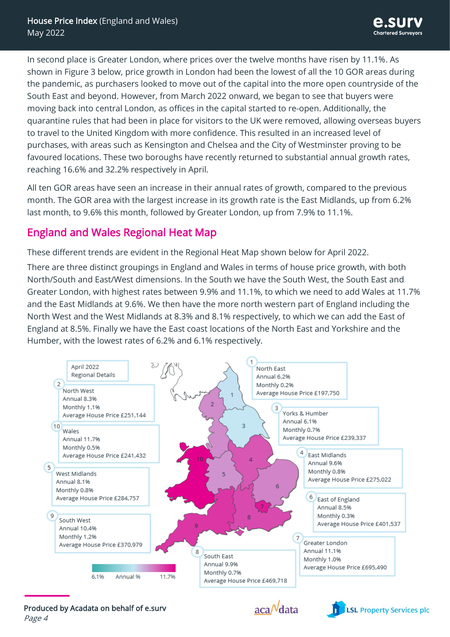In second place is Greater London, where prices over the twelve months have risen by 11.1%. As shown in Figure 3 below, price growth in London had been the lowest of all the 10 GOR areas during the pandemic, as purchasers looked to move out of the capital into the more open countryside of the South East and beyond. However, from March 2022 onward, we began to see that buyers were moving back into central London, as offices in the capital started to re-open. Additionally, the quarantine rules that had been in place for visitors to the UK were removed, allowing overseas buyers to travel to the United Kingdom with more confidence. This resulted in an increased level of purchases, with areas such as Kensington and Chelsea and the City of Westminster proving to be favoured locations. These two boroughs have recently returned to substantial annual growth rates, reaching 16.6% and 32.2% respectively in April.

All ten GOR areas have seen an increase in their annual rates of growth, compared to the previous month. The GOR area with the largest increase in its growth rate is the East Midlands, up from 6.2% last month, to 9.6% this month, followed by Greater London, up from 7.9% to 11.1%.

## England and Wales Regional Heat Map

These different trends are evident in the Regional Heat Map shown below for April 2022.

There are three distinct groupings in England and Wales in terms of house price growth, with both North/South and East/West dimensions. In the South we have the South West, the South East and Greater London, with highest rates between 9.9% and 11.1%, to which we need to add Wales at 11.7% and the East Midlands at 9.6%. We then have the more north western part of England including the North West and the West Midlands at 8.3% and 8.1% respectively, to which we can add the East of England at 8.5%. Finally we have the East coast locations of the North East and Yorkshire and the Humber, with the lowest rates of 6.2% and 6.1% respectively.





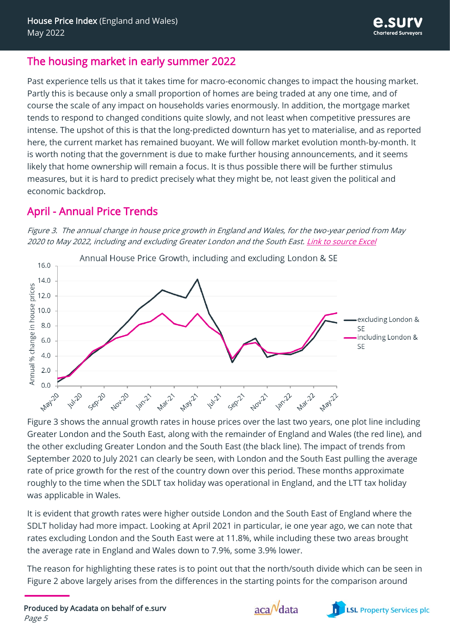#### The housing market in early summer 2022

Past experience tells us that it takes time for macro-economic changes to impact the housing market. Partly this is because only a small proportion of homes are being traded at any one time, and of course the scale of any impact on households varies enormously. In addition, the mortgage market tends to respond to changed conditions quite slowly, and not least when competitive pressures are intense. The upshot of this is that the long-predicted downturn has yet to materialise, and as reported here, the current market has remained buoyant. We will follow market evolution month-by-month. It is worth noting that the government is due to make further housing announcements, and it seems likely that home ownership will remain a focus. It is thus possible there will be further stimulus measures, but it is hard to predict precisely what they might be, not least given the political and economic backdrop.

## April - Annual Price Trends





Figure 3 shows the annual growth rates in house prices over the last two years, one plot line including Greater London and the South East, along with the remainder of England and Wales (the red line), and the other excluding Greater London and the South East (the black line). The impact of trends from September 2020 to July 2021 can clearly be seen, with London and the South East pulling the average rate of price growth for the rest of the country down over this period. These months approximate roughly to the time when the SDLT tax holiday was operational in England, and the LTT tax holiday was applicable in Wales.

It is evident that growth rates were higher outside London and the South East of England where the SDLT holiday had more impact. Looking at April 2021 in particular, ie one year ago, we can note that rates excluding London and the South East were at 11.8%, while including these two areas brought the average rate in England and Wales down to 7.9%, some 3.9% lower.

The reason for highlighting these rates is to point out that the north/south divide which can be seen in Figure 2 above largely arises from the differences in the starting points for the comparison around

Produced by Acadata on behalf of e.surv Page 5



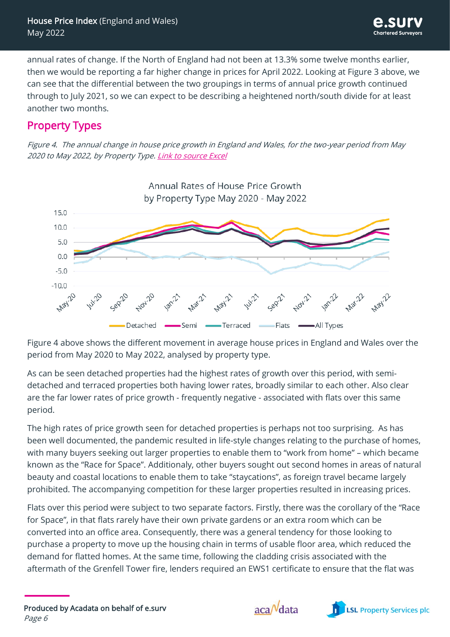annual rates of change. If the North of England had not been at 13.3% some twelve months earlier, then we would be reporting a far higher change in prices for April 2022. Looking at Figure 3 above, we can see that the differential between the two groupings in terms of annual price growth continued through to July 2021, so we can expect to be describing a heightened north/south divide for at least another two months.

## Property Types

Figure 4. The annual change in house price growth in England and Wales, for the two-year period from May 2020 to May 2022, by Property Type. [Link to source Excel](http://www.acadata.co.uk/assets/uploads/2022/06/e.surv-Acadata-EW-HPI-Property-Types-May-22-.xlsx)



Figure 4 above shows the different movement in average house prices in England and Wales over the period from May 2020 to May 2022, analysed by property type.

As can be seen detached properties had the highest rates of growth over this period, with semidetached and terraced properties both having lower rates, broadly similar to each other. Also clear are the far lower rates of price growth - frequently negative - associated with flats over this same period.

The high rates of price growth seen for detached properties is perhaps not too surprising. As has been well documented, the pandemic resulted in life-style changes relating to the purchase of homes, with many buyers seeking out larger properties to enable them to "work from home" – which became known as the "Race for Space". Additionaly, other buyers sought out second homes in areas of natural beauty and coastal locations to enable them to take "staycations", as foreign travel became largely prohibited. The accompanying competition for these larger properties resulted in increasing prices.

Flats over this period were subject to two separate factors. Firstly, there was the corollary of the "Race for Space", in that flats rarely have their own private gardens or an extra room which can be converted into an office area. Consequently, there was a general tendency for those looking to purchase a property to move up the housing chain in terms of usable floor area, which reduced the demand for flatted homes. At the same time, following the cladding crisis associated with the aftermath of the Grenfell Tower fire, lenders required an EWS1 certificate to ensure that the flat was



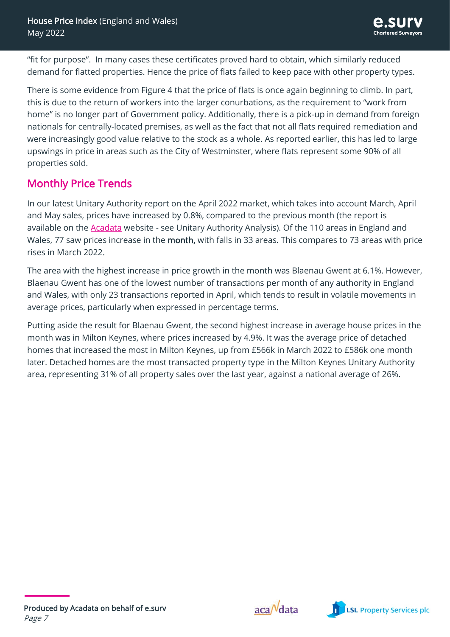"fit for purpose". In many cases these certificates proved hard to obtain, which similarly reduced demand for flatted properties. Hence the price of flats failed to keep pace with other property types.

There is some evidence from Figure 4 that the price of flats is once again beginning to climb. In part, this is due to the return of workers into the larger conurbations, as the requirement to "work from home" is no longer part of Government policy. Additionally, there is a pick-up in demand from foreign nationals for centrally-located premises, as well as the fact that not all flats required remediation and were increasingly good value relative to the stock as a whole. As reported earlier, this has led to large upswings in price in areas such as the City of Westminster, where flats represent some 90% of all properties sold.

# Monthly Price Trends

In our latest Unitary Authority report on the April 2022 market, which takes into account March, April and May sales, prices have increased by 0.8%, compared to the previous month (the report is available on the [Acadata](http://www.acadata.co.uk/services/house-price-index/) website - see Unitary Authority Analysis). Of the 110 areas in England and Wales, 77 saw prices increase in the month, with falls in 33 areas. This compares to 73 areas with price rises in March 2022.

The area with the highest increase in price growth in the month was Blaenau Gwent at 6.1%. However, Blaenau Gwent has one of the lowest number of transactions per month of any authority in England and Wales, with only 23 transactions reported in April, which tends to result in volatile movements in average prices, particularly when expressed in percentage terms.

Putting aside the result for Blaenau Gwent, the second highest increase in average house prices in the month was in Milton Keynes, where prices increased by 4.9%. It was the average price of detached homes that increased the most in Milton Keynes, up from £566k in March 2022 to £586k one month later. Detached homes are the most transacted property type in the Milton Keynes Unitary Authority area, representing 31% of all property sales over the last year, against a national average of 26%.



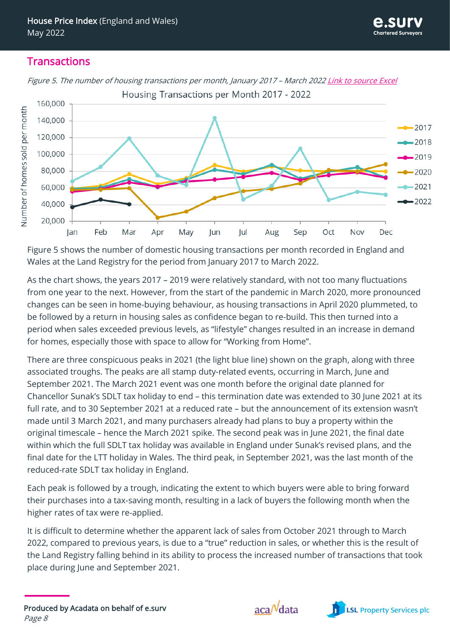#### **Transactions**



Figure 5. The number of housing transactions per month, January 2017 - March 2022 [Link to source Excel](http://www.acadata.co.uk/assets/uploads/2022/06/e.surv-Acadata-EW-HPI-Housing-transactions-per-month-May-22.xlsx) Housing Transactions per Month 2017 - 2022

Figure 5 shows the number of domestic housing transactions per month recorded in England and Wales at the Land Registry for the period from January 2017 to March 2022.

As the chart shows, the years 2017 – 2019 were relatively standard, with not too many fluctuations from one year to the next. However, from the start of the pandemic in March 2020, more pronounced changes can be seen in home-buying behaviour, as housing transactions in April 2020 plummeted, to be followed by a return in housing sales as confidence began to re-build. This then turned into a period when sales exceeded previous levels, as "lifestyle" changes resulted in an increase in demand for homes, especially those with space to allow for "Working from Home".

There are three conspicuous peaks in 2021 (the light blue line) shown on the graph, along with three associated troughs. The peaks are all stamp duty-related events, occurring in March, June and September 2021. The March 2021 event was one month before the original date planned for Chancellor Sunak's SDLT tax holiday to end – this termination date was extended to 30 June 2021 at its full rate, and to 30 September 2021 at a reduced rate – but the announcement of its extension wasn't made until 3 March 2021, and many purchasers already had plans to buy a property within the original timescale – hence the March 2021 spike. The second peak was in June 2021, the final date within which the full SDLT tax holiday was available in England under Sunak's revised plans, and the final date for the LTT holiday in Wales. The third peak, in September 2021, was the last month of the reduced-rate SDLT tax holiday in England.

Each peak is followed by a trough, indicating the extent to which buyers were able to bring forward their purchases into a tax-saving month, resulting in a lack of buyers the following month when the higher rates of tax were re-applied.

It is difficult to determine whether the apparent lack of sales from October 2021 through to March 2022, compared to previous years, is due to a "true" reduction in sales, or whether this is the result of the Land Registry falling behind in its ability to process the increased number of transactions that took place during June and September 2021.



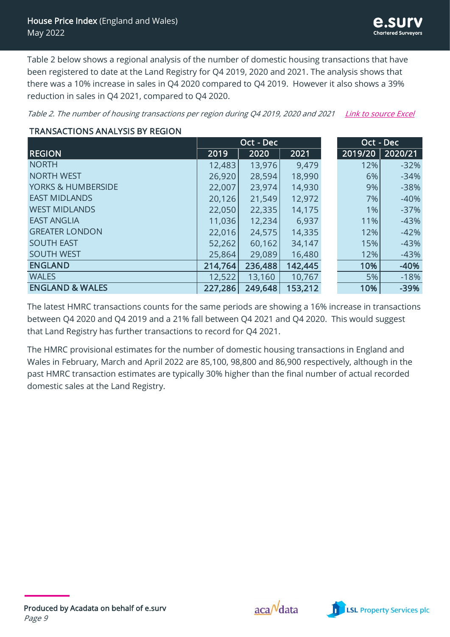Table 2 below shows a regional analysis of the number of domestic housing transactions that have been registered to date at the Land Registry for Q4 2019, 2020 and 2021. The analysis shows that there was a 10% increase in sales in Q4 2020 compared to Q4 2019. However it also shows a 39% reduction in sales in Q4 2021, compared to Q4 2020.

Table 2. The number of housing transactions per region during Q4 2019, 2020 and 2021 [Link to source Excel](http://www.acadata.co.uk/assets/uploads/2022/06/e.surv-Acadata-EW-HPI-Transactions-by-Region-May-22.xlsx)

#### TRANSACTIONS ANALYSIS BY REGION

| TRANSACTIONS ANALYSIS BY REGION |           |         |         |  |                        |         |  |  |
|---------------------------------|-----------|---------|---------|--|------------------------|---------|--|--|
|                                 | Oct - Dec |         |         |  | $\overline{Oct}$ - Dec |         |  |  |
| <b>REGION</b>                   | 2019      | 2020    | 2021    |  | 2019/20                | 2020/21 |  |  |
| <b>NORTH</b>                    | 12,483    | 13,976  | 9,479   |  | 12%                    | $-32%$  |  |  |
| <b>NORTH WEST</b>               | 26,920    | 28,594  | 18,990  |  | 6%                     | $-34%$  |  |  |
| <b>YORKS &amp; HUMBERSIDE</b>   | 22,007    | 23,974  | 14,930  |  | $9\%$                  | $-38%$  |  |  |
| <b>EAST MIDLANDS</b>            | 20,126    | 21,549  | 12,972  |  | 7%                     | $-40%$  |  |  |
| <b>WEST MIDLANDS</b>            | 22,050    | 22,335  | 14,175  |  | 1%                     | $-37%$  |  |  |
| <b>EAST ANGLIA</b>              | 11,036    | 12,234  | 6,937   |  | 11%                    | $-43%$  |  |  |
| <b>GREATER LONDON</b>           | 22,016    | 24,575  | 14,335  |  | 12%                    | $-42%$  |  |  |
| <b>SOUTH EAST</b>               | 52,262    | 60,162  | 34,147  |  | 15%                    | $-43%$  |  |  |
| <b>SOUTH WEST</b>               | 25,864    | 29,089  | 16,480  |  | 12%                    | $-43%$  |  |  |
| <b>ENGLAND</b>                  | 214,764   | 236,488 | 142,445 |  | 10%                    | $-40%$  |  |  |
| <b>WALES</b>                    | 12,522    | 13,160  | 10,767  |  | 5%                     | $-18%$  |  |  |
| <b>ENGLAND &amp; WALES</b>      | 227,286   | 249,648 | 153,212 |  | 10%                    | $-39%$  |  |  |

The latest HMRC transactions counts for the same periods are showing a 16% increase in transactions between Q4 2020 and Q4 2019 and a 21% fall between Q4 2021 and Q4 2020. This would suggest that Land Registry has further transactions to record for Q4 2021.

The HMRC provisional estimates for the number of domestic housing transactions in England and Wales in February, March and April 2022 are 85,100, 98,800 and 86,900 respectively, although in the past HMRC transaction estimates are typically 30% higher than the final number of actual recorded domestic sales at the Land Registry.



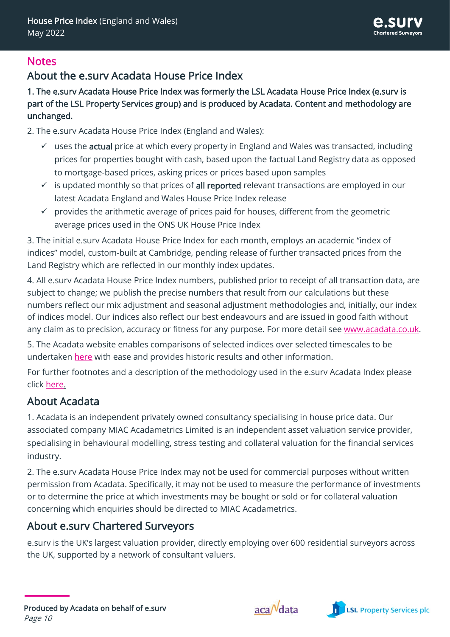## **Notes**

# About the e.surv Acadata House Price Index

1. The e.surv Acadata House Price Index was formerly the LSL Acadata House Price Index (e.surv is part of the LSL Property Services group) and is produced by Acadata. Content and methodology are unchanged.

2. The e.surv Acadata House Price Index (England and Wales):

- $\checkmark$  uses the **actual** price at which every property in England and Wales was transacted, including prices for properties bought with cash, based upon the factual Land Registry data as opposed to mortgage-based prices, asking prices or prices based upon samples
- $\checkmark$  is updated monthly so that prices of all reported relevant transactions are employed in our latest Acadata England and Wales House Price Index release
- $\checkmark$  provides the arithmetic average of prices paid for houses, different from the geometric average prices used in the ONS UK House Price Index

3. The initial e.surv Acadata House Price Index for each month, employs an academic "index of indices" model, custom-built at Cambridge, pending release of further transacted prices from the Land Registry which are reflected in our monthly index updates.

4. All e.surv Acadata House Price Index numbers, published prior to receipt of all transaction data, are subject to change; we publish the precise numbers that result from our calculations but these numbers reflect our mix adjustment and seasonal adjustment methodologies and, initially, our index of indices model. Our indices also reflect our best endeavours and are issued in good faith without any claim as to precision, accuracy or fitness for any purpose. For more detail see [www.acadata.co.uk.](http://www.acadata.co.uk/)

5. The Acadata website enables comparisons of selected indices over selected timescales to be undertaken [here](http://www.acadata.co.uk/assets/uploads/2022/06/e.surv-Acadata-EW-HPI-National-and-Regional-Formatted-Data-from-2005-May-22.xlsm) with ease and provides historic results and other information.

For further footnotes and a description of the methodology used in the e.surv Acadata Index please click [here.](http://www.acadata.co.uk/e-surv-ew-hpi-footnotes-and-methodology/)

# About Acadata

1. Acadata is an independent privately owned consultancy specialising in house price data. Our associated company MIAC Acadametrics Limited is an independent asset valuation service provider, specialising in behavioural modelling, stress testing and collateral valuation for the financial services industry.

2. The e.surv Acadata House Price Index may not be used for commercial purposes without written permission from Acadata. Specifically, it may not be used to measure the performance of investments or to determine the price at which investments may be bought or sold or for collateral valuation concerning which enquiries should be directed to MIAC Acadametrics.

# About e.surv Chartered Surveyors

e.surv is the UK's largest valuation provider, directly employing over 600 residential surveyors across the UK, supported by a network of consultant valuers.